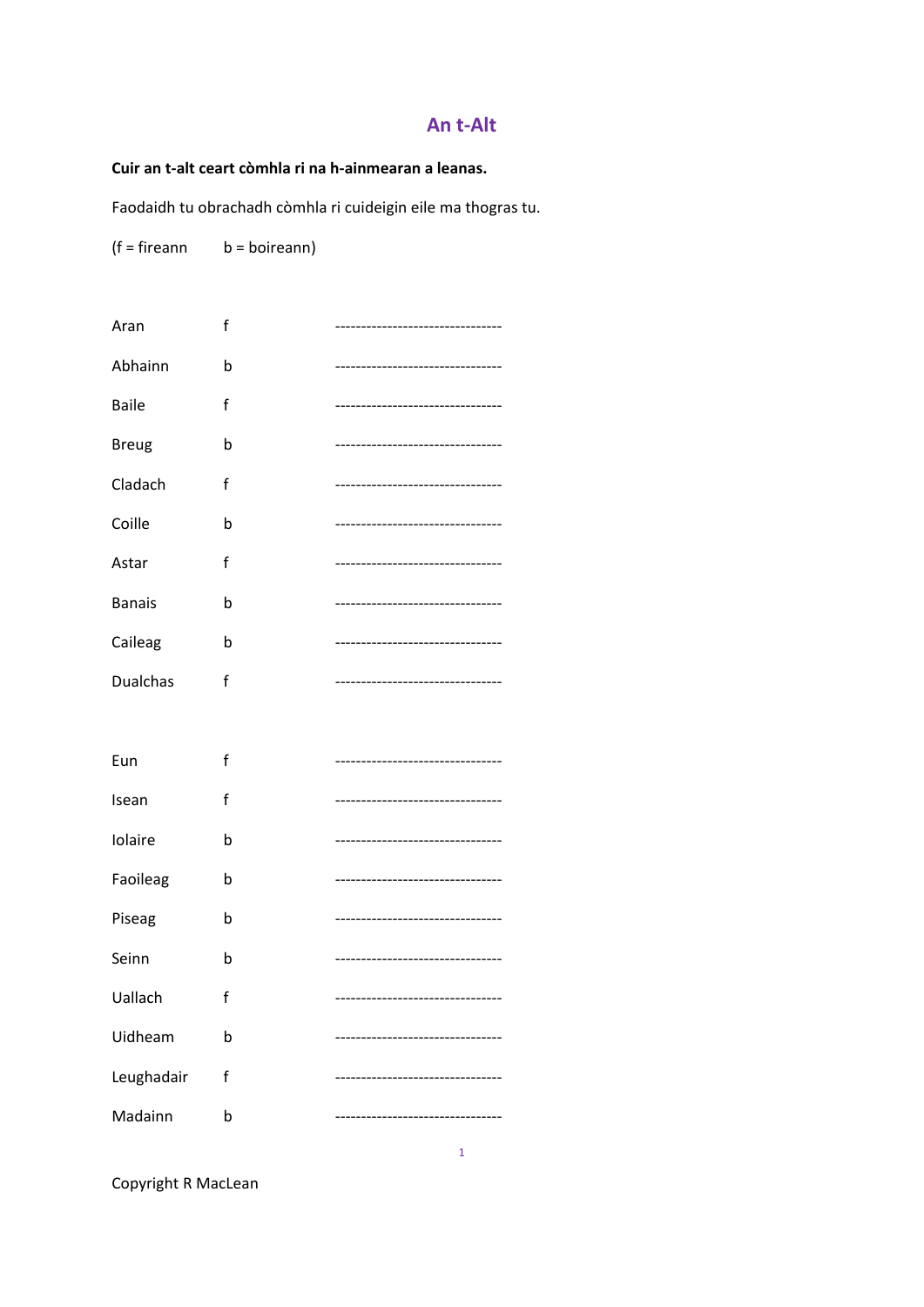# **An t‐Alt**

## **Cuir an t‐alt ceart còmhla ri na h‐ainmearan a leanas.**

Faodaidh tu obrachadh còmhla ri cuideigin eile ma thogras tu.

 $(f = fireann$  b = boireann)

| Aran            | f |                                   |
|-----------------|---|-----------------------------------|
| Abhainn         | b | -------------------------------   |
| <b>Baile</b>    | f | --------------------------------- |
| <b>Breug</b>    | b |                                   |
| Cladach         | f |                                   |
| Coille          | b |                                   |
| Astar           | f |                                   |
| <b>Banais</b>   | b | --------------------------------  |
| Caileag         | b | --------------------------------- |
| <b>Dualchas</b> | f | -----------------------------     |
|                 |   |                                   |
| Eun             | f | -------------------------------   |
| Isean           | f |                                   |
| Iolaire         | b | -------------------------         |
| Faoileag        | b |                                   |
| Piseag          | b | --------------------------------  |
| Seinn           | b | --------------------------------- |
| Uallach         | f |                                   |
| Uidheam         | þ |                                   |
| Leughadair      | f |                                   |
| Madainn         | b |                                   |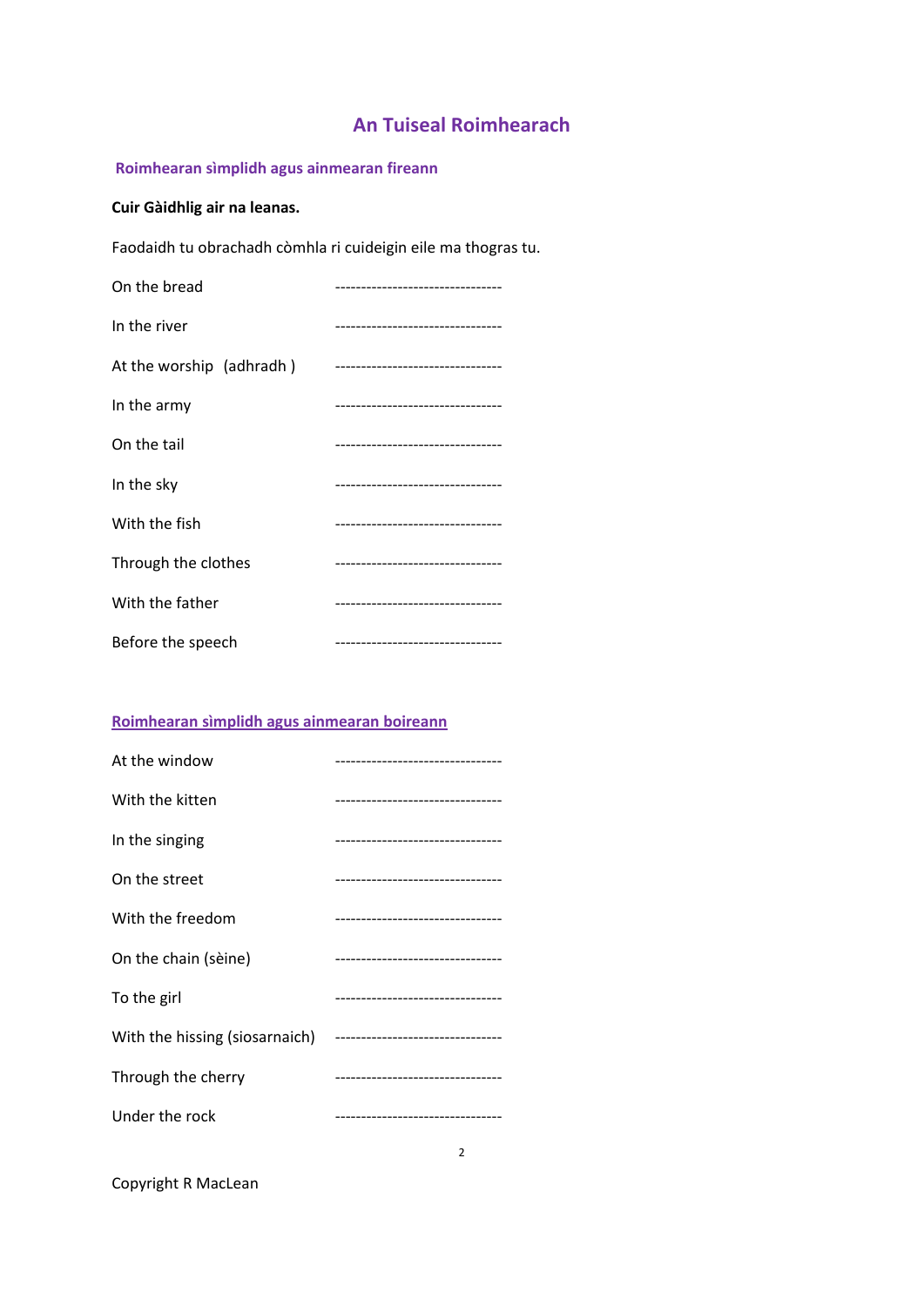# **An Tuiseal Roimhearach**

# **Roimhearan sìmplidh agus ainmearan fireann**

# **Cuir Gàidhlig air na leanas.**

Faodaidh tu obrachadh còmhla ri cuideigin eile ma thogras tu.

| On the bread             | ---------------------------       |
|--------------------------|-----------------------------------|
| In the river             | --------------------------------- |
| At the worship (adhradh) | --------------------------------  |
| In the army              | --------------------------------- |
| On the tail              | ------------------------------    |
| In the sky               | --------------------------------  |
| With the fish            | --------------------------------- |
| Through the clothes      | -------------------------------   |
| With the father          | --------------------------------- |
| Before the speech        | --------------------------------  |

# **Roimhearan sìmplidh agus ainmearan boireann**

| At the window                                                   | -------------------------------    |
|-----------------------------------------------------------------|------------------------------------|
| With the kitten                                                 | ---------------------------------  |
| In the singing                                                  | ---------------------------------  |
| On the street                                                   | ---------------------------------- |
| With the freedom                                                | --------------------------------   |
| On the chain (sèine)                                            | ---------------------------------  |
| To the girl                                                     | ---------------------------------  |
| With the hissing (siosarnaich) -------------------------------- |                                    |
| Through the cherry                                              | ---------------------------------  |
| Under the rock                                                  | ---------------------------------  |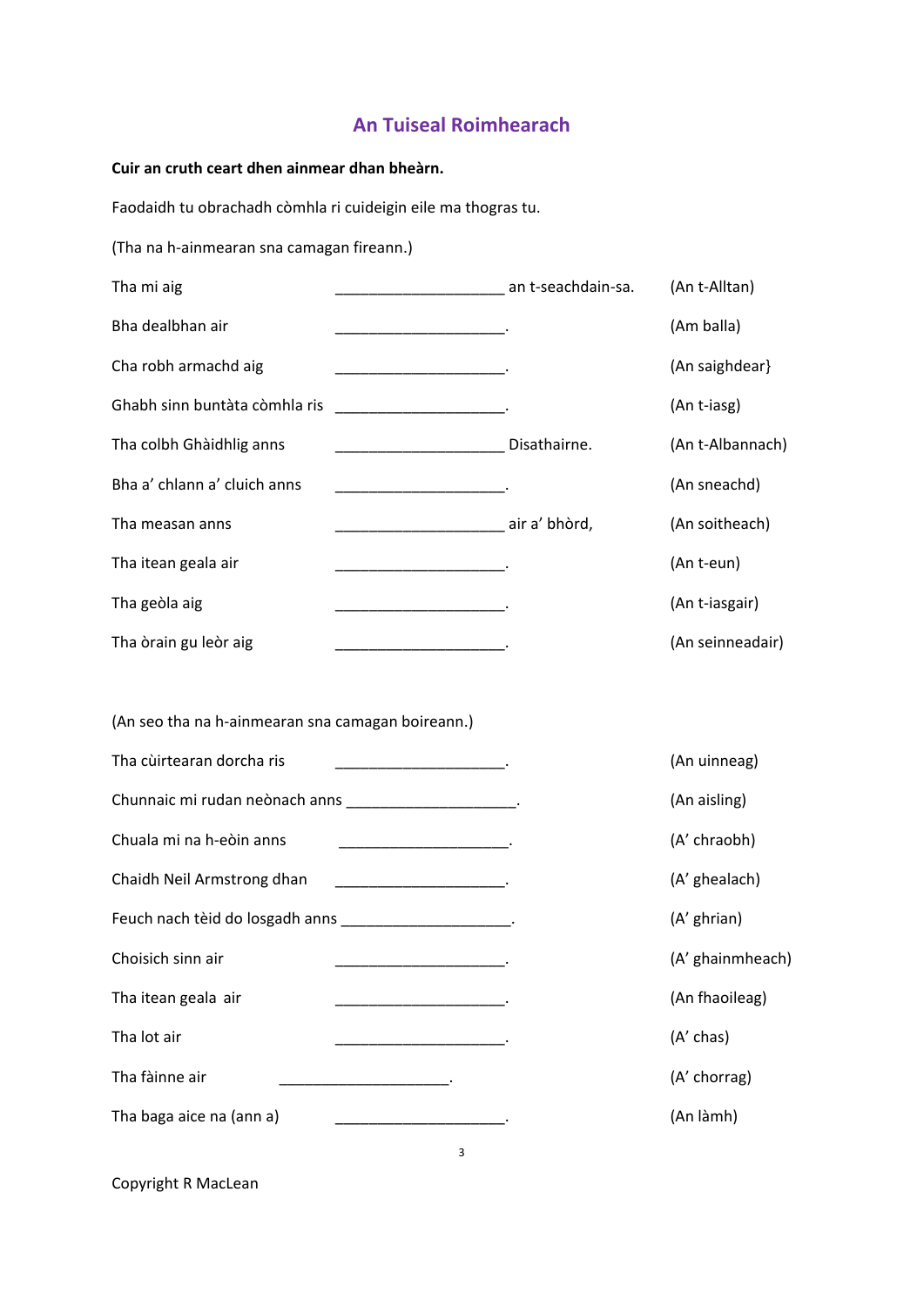# **An Tuiseal Roimhearach**

**Cuir an cruth ceart dhen ainmear dhan bheàrn.**

Faodaidh tu obrachadh còmhla ri cuideigin eile ma thogras tu.

(Tha na h‐ainmearan sna camagan fireann.)

| Tha mi aig                                                | an t-seachdain-sa.                                                                                                            | (An t-Alltan)    |
|-----------------------------------------------------------|-------------------------------------------------------------------------------------------------------------------------------|------------------|
| Bha dealbhan air                                          |                                                                                                                               | (Am balla)       |
| Cha robh armachd aig                                      |                                                                                                                               | (An saighdear)   |
| Ghabh sinn buntàta còmhla ris                             |                                                                                                                               | (An t-iasg)      |
| Tha colbh Ghàidhlig anns                                  | Disathairne.                                                                                                                  | (An t-Albannach) |
| Bha a' chlann a' cluich anns                              |                                                                                                                               | (An sneachd)     |
| Tha measan anns                                           | ________________________________ air a' bhòrd,                                                                                | (An soitheach)   |
| Tha itean geala air                                       |                                                                                                                               | (An t-eun)       |
| Tha geòla aig                                             |                                                                                                                               | (An t-iasgair)   |
| Tha òrain gu leòr aig                                     |                                                                                                                               | (An seinneadair) |
|                                                           |                                                                                                                               |                  |
| (An seo tha na h-ainmearan sna camagan boireann.)         |                                                                                                                               |                  |
| Tha cùirtearan dorcha ris                                 |                                                                                                                               | (An uinneag)     |
| Chunnaic mi rudan neònach anns _______________________.   |                                                                                                                               | (An aisling)     |
| Chuala mi na h-eòin anns                                  | the control of the control of the control of                                                                                  | (A' chraobh)     |
| Chaidh Neil Armstrong dhan                                | <u> 1989 - Johann John Stone, mars et al. 1989 - John Stone, mars et al. 1989 - John Stone, mars et al. 1989 - John Stone</u> | (A' ghealach)    |
| Feuch nach tèid do losgadh anns ________________________. |                                                                                                                               | (A' ghrian)      |
| Choisich sinn air                                         |                                                                                                                               | (A' ghainmheach) |

3

Tha itean geala air  $\qquad \qquad \qquad \qquad$ Tha lot air \_\_\_\_\_\_\_\_\_\_\_\_\_\_\_\_\_\_\_\_. (A' chas)

Tha fàinne air  $\qquad \qquad \qquad$  \_\_\_\_\_\_\_\_\_\_\_\_\_\_\_\_\_\_\_\_\_\_\_\_\_\_.

Tha baga aice na (ann a) \_\_\_\_\_\_\_\_\_\_\_\_\_\_\_\_\_\_\_\_\_\_\_\_\_.<br>
(An làmh)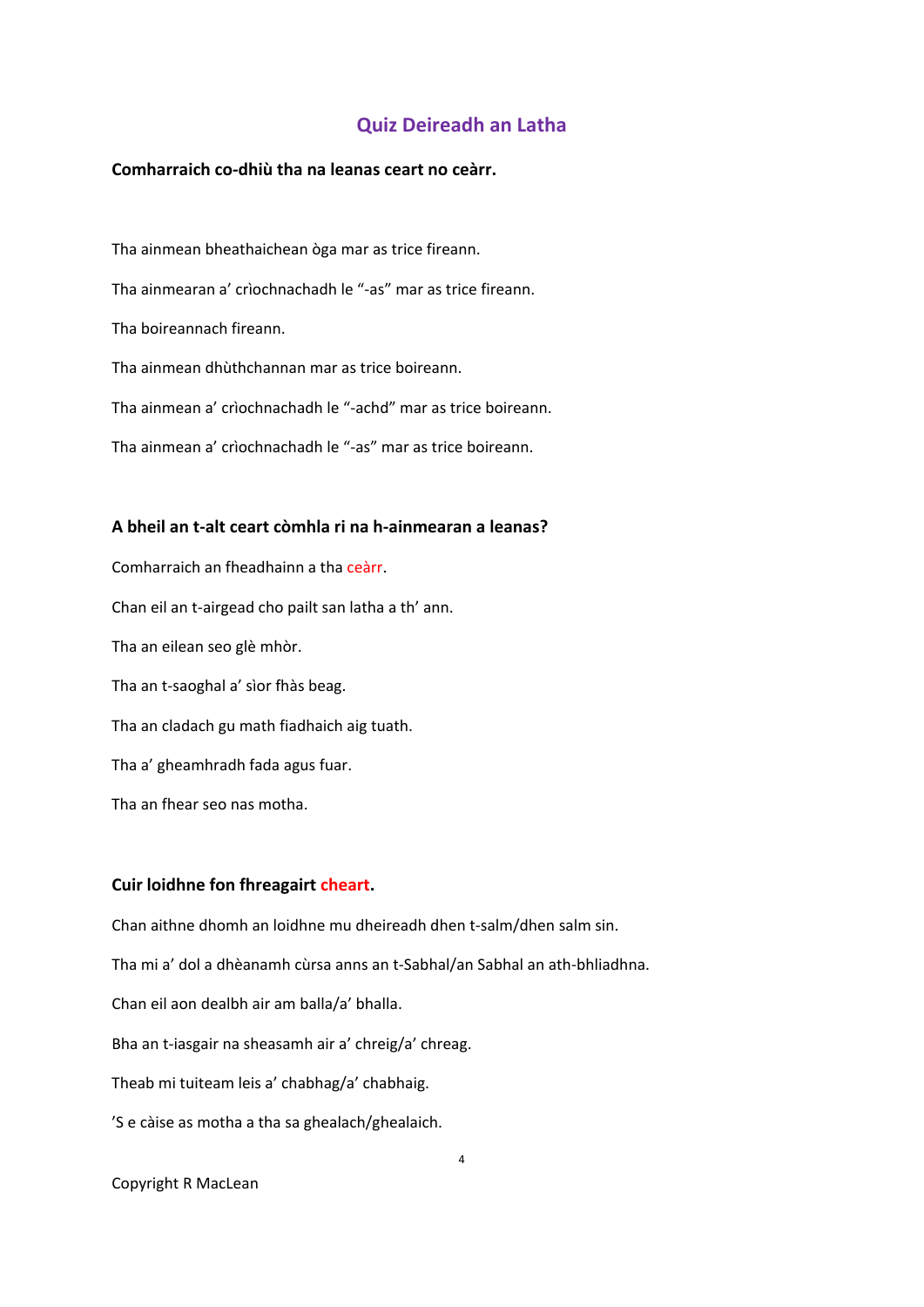# **Quiz Deireadh an Latha**

#### **Comharraich co‐dhiù tha na leanas ceart no ceàrr.**

Tha ainmean bheathaichean òga mar as trice fireann. Tha ainmearan a' crìochnachadh le "‐as" mar as trice fireann. Tha boireannach fireann. Tha ainmean dhùthchannan mar as trice boireann. Tha ainmean a' crìochnachadh le "‐achd" mar as trice boireann. Tha ainmean a' crìochnachadh le "‐as" mar as trice boireann.

#### **A bheil an t‐alt ceart còmhla ri na h‐ainmearan a leanas?**

Comharraich an fheadhainn a tha ceàrr. Chan eil an t‐airgead cho pailt san latha a th' ann. Tha an eilean seo glè mhòr. Tha an t‐saoghal a' sìor fhàs beag. Tha an cladach gu math fiadhaich aig tuath. Tha a' gheamhradh fada agus fuar. Tha an fhear seo nas motha.

#### **Cuir loidhne fon fhreagairt cheart.**

Chan aithne dhomh an loidhne mu dheireadh dhen t‐salm/dhen salm sin. Tha mi a' dol a dhèanamh cùrsa anns an t‐Sabhal/an Sabhal an ath‐bhliadhna. Chan eil aon dealbh air am balla/a' bhalla. Bha an t‐iasgair na sheasamh air a' chreig/a' chreag. Theab mi tuiteam leis a' chabhag/a' chabhaig. 'S e càise as motha a tha sa ghealach/ghealaich.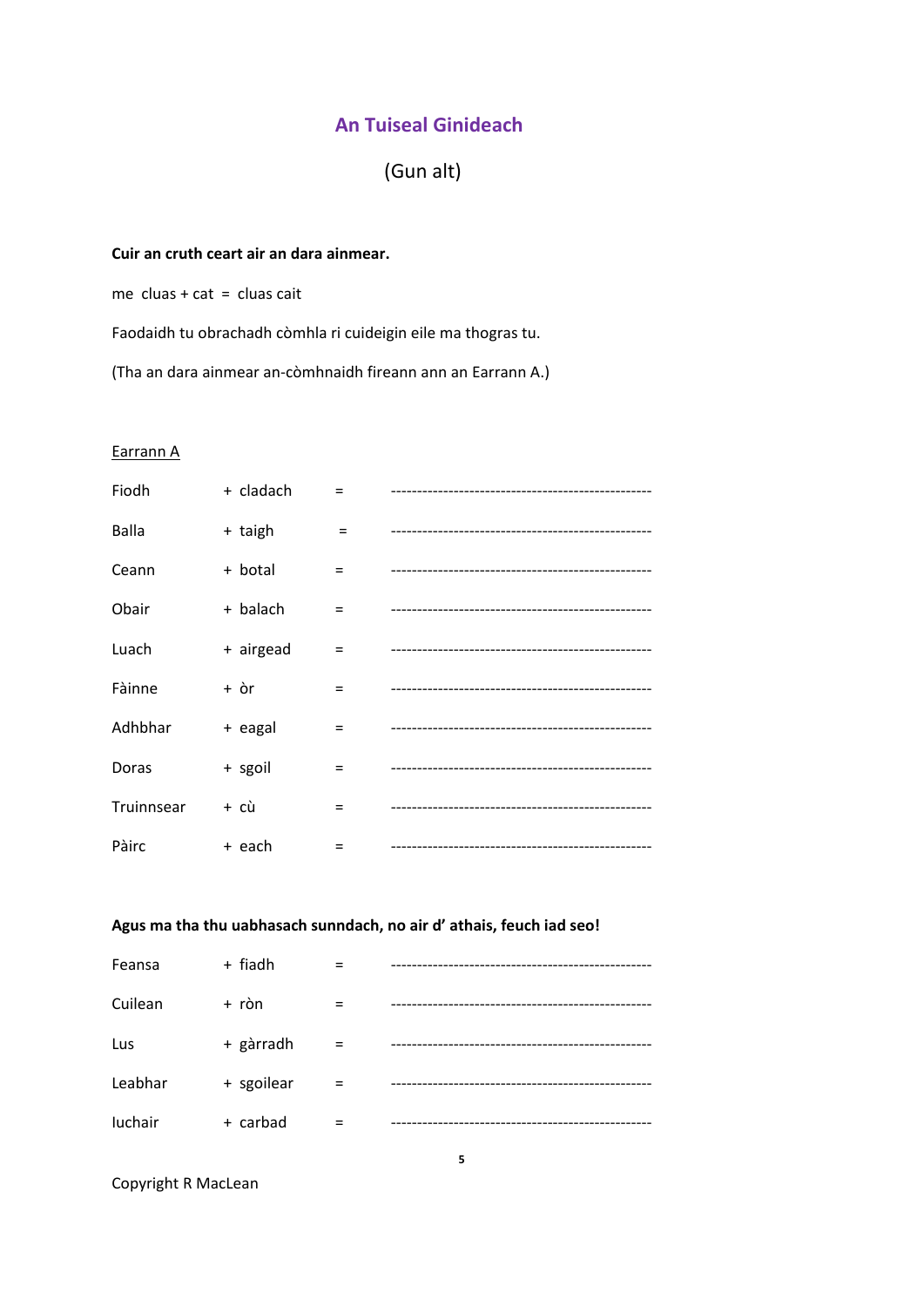(Gun alt)

# **Cuir an cruth ceart air an dara ainmear.**

me  $clu$ as + cat =  $clu$ as cait

Faodaidh tu obrachadh còmhla ri cuideigin eile ma thogras tu.

(Tha an dara ainmear an‐còmhnaidh fireann ann an Earrann A.)

## Earrann A

| Fiodh        | + cladach |     | -------------------------------------  |
|--------------|-----------|-----|----------------------------------------|
| <b>Balla</b> | + taigh   | $=$ |                                        |
| Ceann        | + botal   | $=$ |                                        |
| Obair        | + balach  | $=$ |                                        |
| Luach        | + airgead | Ξ   |                                        |
| Fàinne       | + òr      | Ξ   |                                        |
| Adhbhar      | + eagal   | =   |                                        |
| Doras        | + sgoil   | $=$ |                                        |
| Truinnsear   | + cù      | $=$ |                                        |
| Pàirc        | + each    | $=$ | -------------------------------------- |

# **Agus ma tha thu uabhasach sunndach, no air d' athais, feuch iad seo!**

| Feansa  | + fiadh    |     |  |
|---------|------------|-----|--|
| Cuilean | + ròn      |     |  |
| Lus     | + gàrradh  | $=$ |  |
| Leabhar | + sgoilear |     |  |
| luchair | + carbad   |     |  |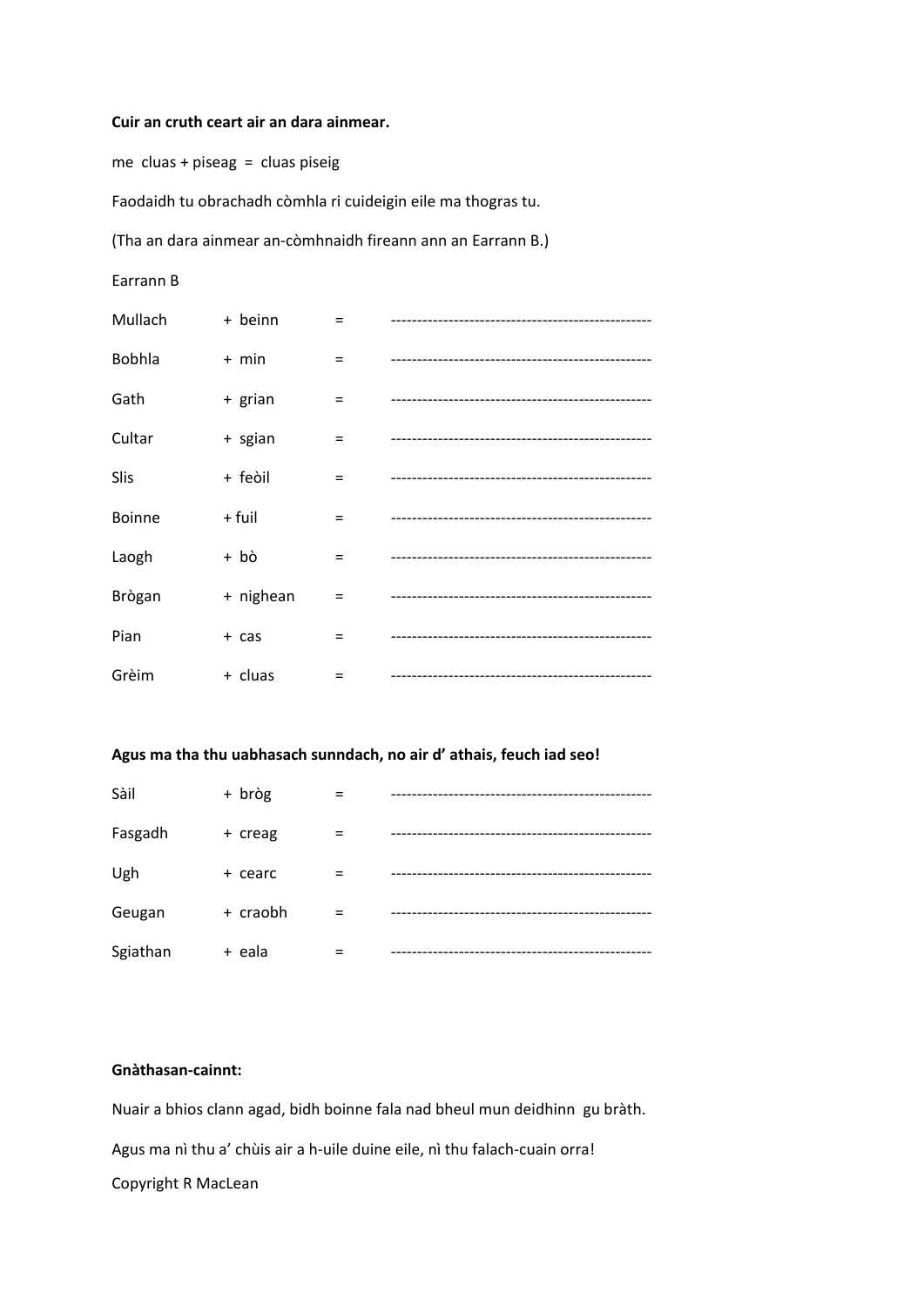#### **Cuir an cruth ceart air an dara ainmear.**

me  $clu$ as + piseag =  $clu$ as piseig

Faodaidh tu obrachadh còmhla ri cuideigin eile ma thogras tu.

(Tha an dara ainmear an‐còmhnaidh fireann ann an Earrann B.)

Earrann B

| Mullach       | + beinn   | =   |                                     |
|---------------|-----------|-----|-------------------------------------|
| Bobhla        | $+$ min   | $=$ | ----------------------------------- |
| Gath          | + grian   | $=$ |                                     |
| Cultar        | + sgian   | $=$ |                                     |
| Slis          | + feòil   | $=$ |                                     |
| <b>Boinne</b> | + fuil    | $=$ |                                     |
| Laogh         | + bò      | $=$ |                                     |
| Brògan        | + nighean | $=$ |                                     |
| Pian          | + cas     | Ξ   |                                     |
| Grèim         | + cluas   | $=$ |                                     |

### **Agus ma tha thu uabhasach sunndach, no air d' athais, feuch iad seo!**

| Sàil     | + bròg   |          |  |
|----------|----------|----------|--|
| Fasgadh  | + creag  |          |  |
| Ugh      | + cearc  |          |  |
| Geugan   | + craobh | $\equiv$ |  |
| Sgiathan | + eala   |          |  |

# **Gnàthasan‐cainnt:**

Nuair a bhios clann agad, bidh boinne fala nad bheul mun deidhinn gu bràth.

Agus ma nì thu a' chùis air a h-uile duine eile, nì thu falach-cuain orra!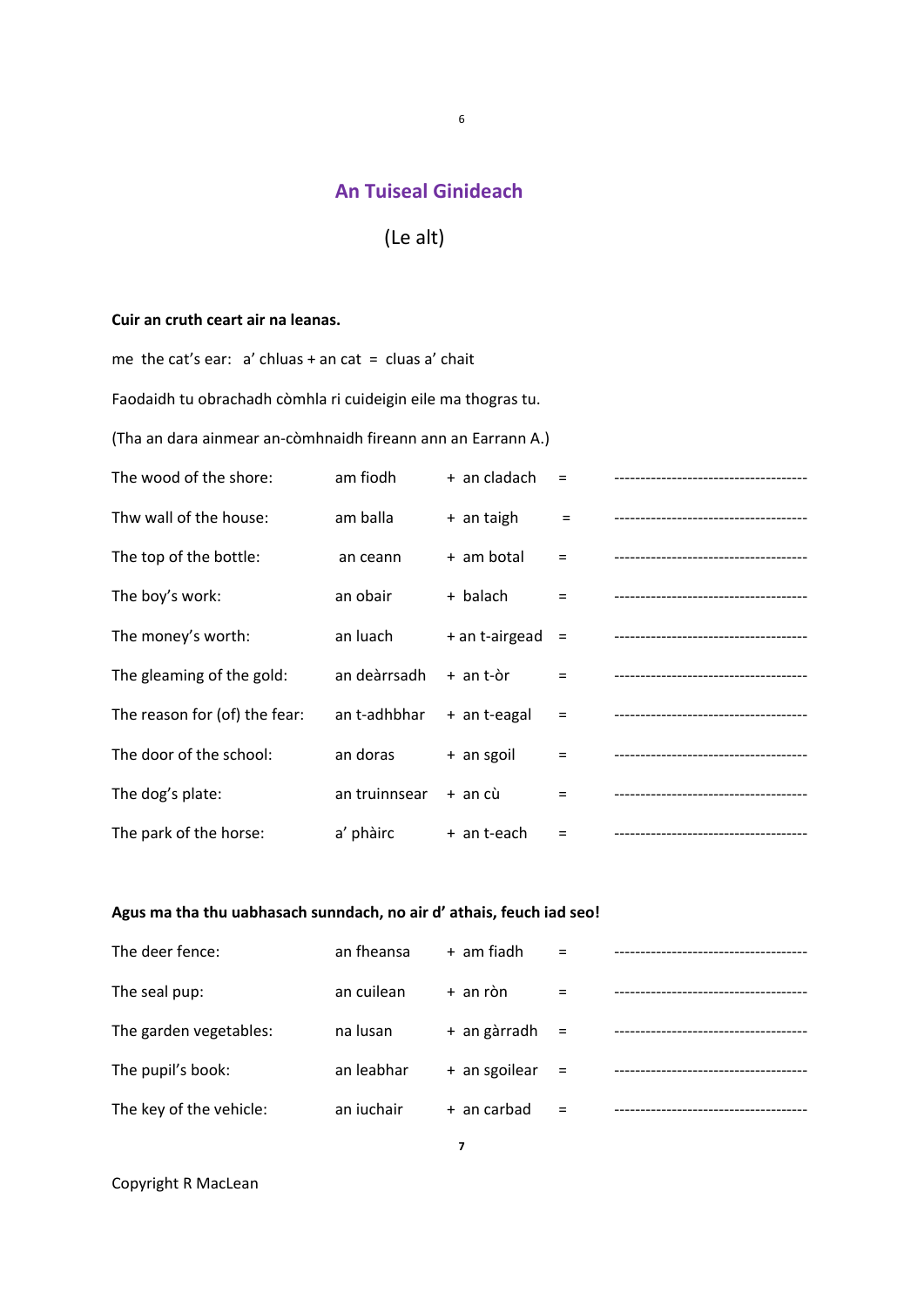6

# (Le alt)

## **Cuir an cruth ceart air na leanas.**

me the cat's ear:  $a'$  chluas + an cat = cluas  $a'$  chait Faodaidh tu obrachadh còmhla ri cuideigin eile ma thogras tu. (Tha an dara ainmear an‐còmhnaidh fireann ann an Earrann A.)

| The wood of the shore:        | am fiodh      | + an cladach   | $=$      | -------------------------------------- |
|-------------------------------|---------------|----------------|----------|----------------------------------------|
| Thw wall of the house:        | am balla      | + an taigh     | $=$      | -------------------------------------- |
| The top of the bottle:        | an ceann      | + am botal     | $\equiv$ | -------------------------------------  |
| The boy's work:               | an obair      | + balach       | $\equiv$ | -------------------------------------- |
| The money's worth:            | an luach      | + an t-airgead | $=$      | -------------------------------------  |
| The gleaming of the gold:     | an deàrrsadh  | + an t-òr      | $=$      | -------------------------------------  |
| The reason for (of) the fear: | an t-adhbhar  | + an t-eagal   | $\equiv$ |                                        |
| The door of the school:       | an doras      | + an sgoil     | $\equiv$ | -------------------------------------- |
| The dog's plate:              | an truinnsear | + an cù        | $\equiv$ | -------------------------------------- |
| The park of the horse:        | a' phàirc     | + an t-each    | $=$      | -----------------------------------    |

# **Agus ma tha thu uabhasach sunndach, no air d' athais, feuch iad seo!**

| The deer fence:         | an fheansa | + am fiadh    | $=$ |  |
|-------------------------|------------|---------------|-----|--|
| The seal pup:           | an cuilean | + an ròn      |     |  |
| The garden vegetables:  | na lusan   | + an gàrradh  | $=$ |  |
| The pupil's book:       | an leabhar | + an sgoilear | $=$ |  |
| The key of the vehicle: | an iuchair | + an carbad   |     |  |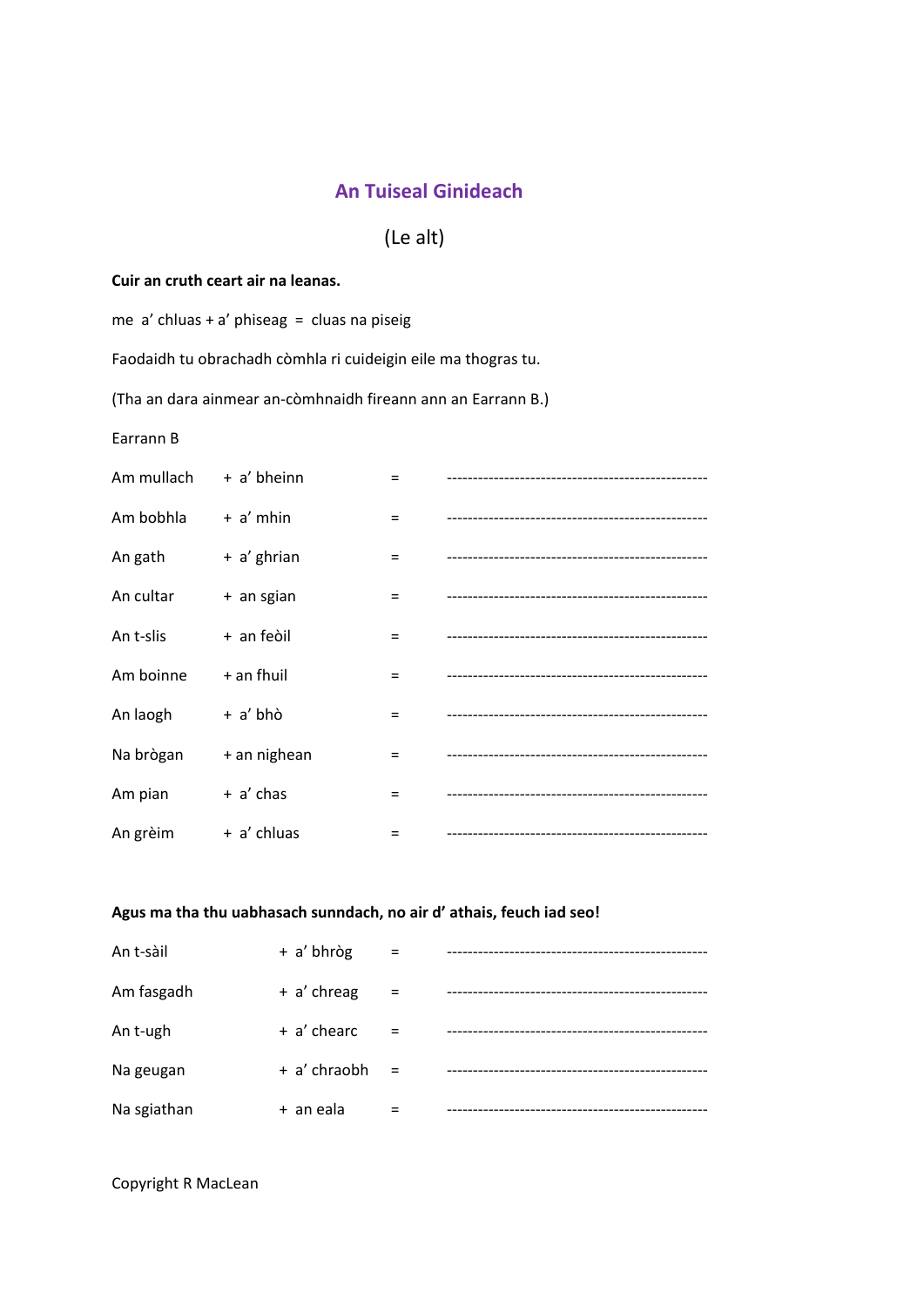# (Le alt)

## **Cuir an cruth ceart air na leanas.**

me a' chluas + a' phiseag = cluas na piseig

Faodaidh tu obrachadh còmhla ri cuideigin eile ma thogras tu.

(Tha an dara ainmear an‐còmhnaidh fireann ann an Earrann B.)

Earrann B

| Am mullach | + a' bheinn  | $=$ |  |
|------------|--------------|-----|--|
| Am bobhla  | $+ a'$ mhin  | $=$ |  |
| An gath    | + a' ghrian  | $=$ |  |
| An cultar  | + an sgian   | $=$ |  |
| An t-slis  | + an feòil   | $=$ |  |
| Am boinne  | $+$ an fhuil | $=$ |  |
| An laogh   | + a' bhò     | $=$ |  |
| Na brògan  | + an nighean | $=$ |  |
| Am pian    | + a' chas    | $=$ |  |
| An grèim   | + a' chluas  | =   |  |

# **Agus ma tha thu uabhasach sunndach, no air d' athais, feuch iad seo!**

| An t-sàil   | + a' bhròg   | $=$ |  |
|-------------|--------------|-----|--|
| Am fasgadh  | + a' chreag  | $=$ |  |
| An t-ugh    | + a' chearc  | $=$ |  |
| Na geugan   | + a' chraobh | $=$ |  |
| Na sgiathan | + an eala    |     |  |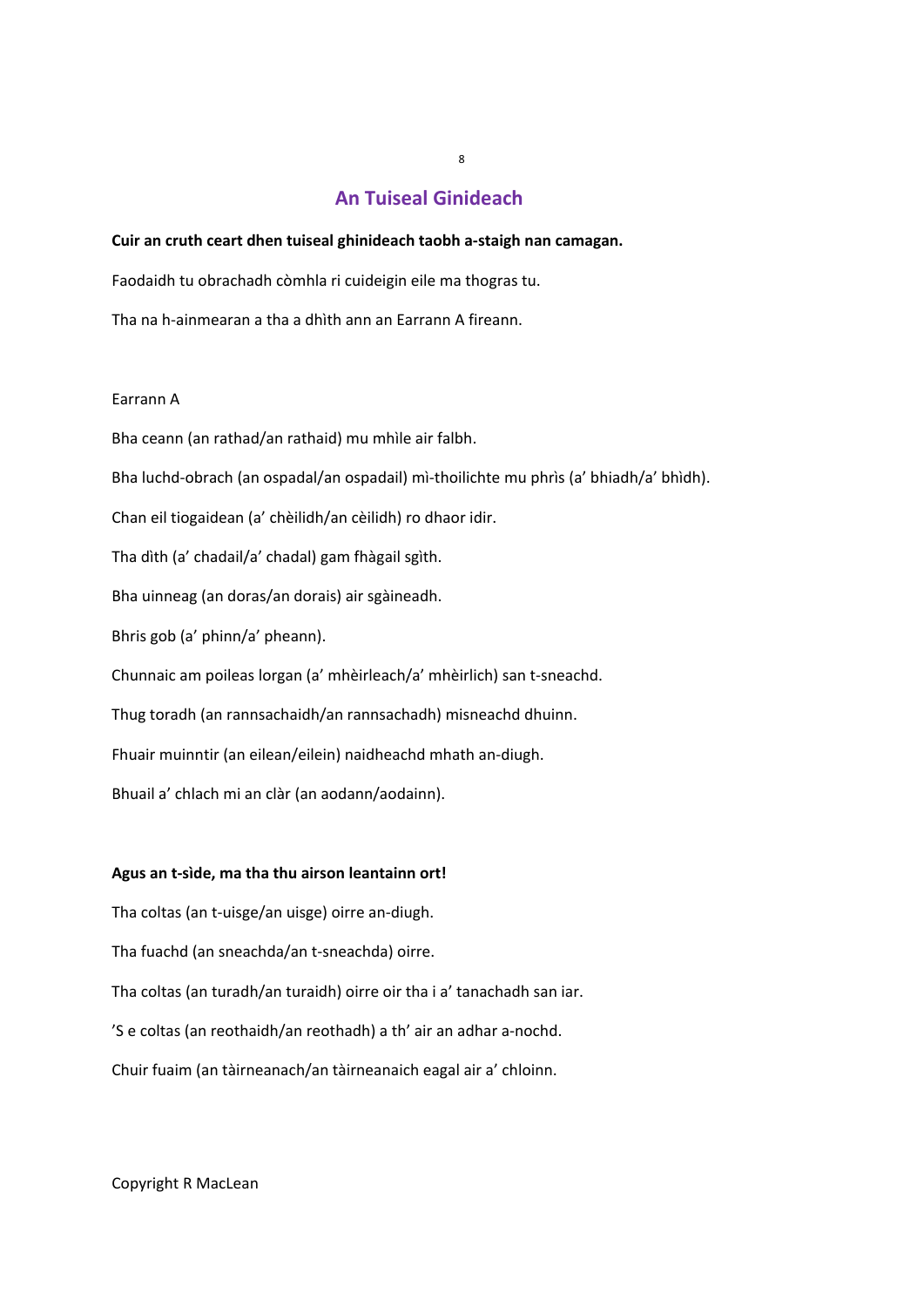#### **Cuir an cruth ceart dhen tuiseal ghinideach taobh a‐staigh nan camagan.**

Faodaidh tu obrachadh còmhla ri cuideigin eile ma thogras tu.

Tha na h‐ainmearan a tha a dhìth ann an Earrann A fireann.

#### Earrann A

Bha ceann (an rathad/an rathaid) mu mhìle air falbh. Bha luchd‐obrach (an ospadal/an ospadail) mì‐thoilichte mu phrìs (a' bhiadh/a' bhìdh). Chan eil tiogaidean (a' chèilidh/an cèilidh) ro dhaor idir. Tha dìth (a' chadail/a' chadal) gam fhàgail sgìth. Bha uinneag (an doras/an dorais) air sgàineadh. Bhris gob (a' phinn/a' pheann). Chunnaic am poileas lorgan (a' mhèirleach/a' mhèirlich) san t‐sneachd. Thug toradh (an rannsachaidh/an rannsachadh) misneachd dhuinn. Fhuair muinntir (an eilean/eilein) naidheachd mhath an‐diugh. Bhuail a' chlach mi an clàr (an aodann/aodainn).

#### **Agus an t‐sìde, ma tha thu airson leantainn ort!**

Tha coltas (an t‐uisge/an uisge) oirre an‐diugh.

Tha fuachd (an sneachda/an t‐sneachda) oirre.

Tha coltas (an turadh/an turaidh) oirre oir tha i a' tanachadh san iar.

'S e coltas (an reothaidh/an reothadh) a th' air an adhar a‐nochd.

Chuir fuaim (an tàirneanach/an tàirneanaich eagal air a' chloinn.

#### Copyright R MacLean

8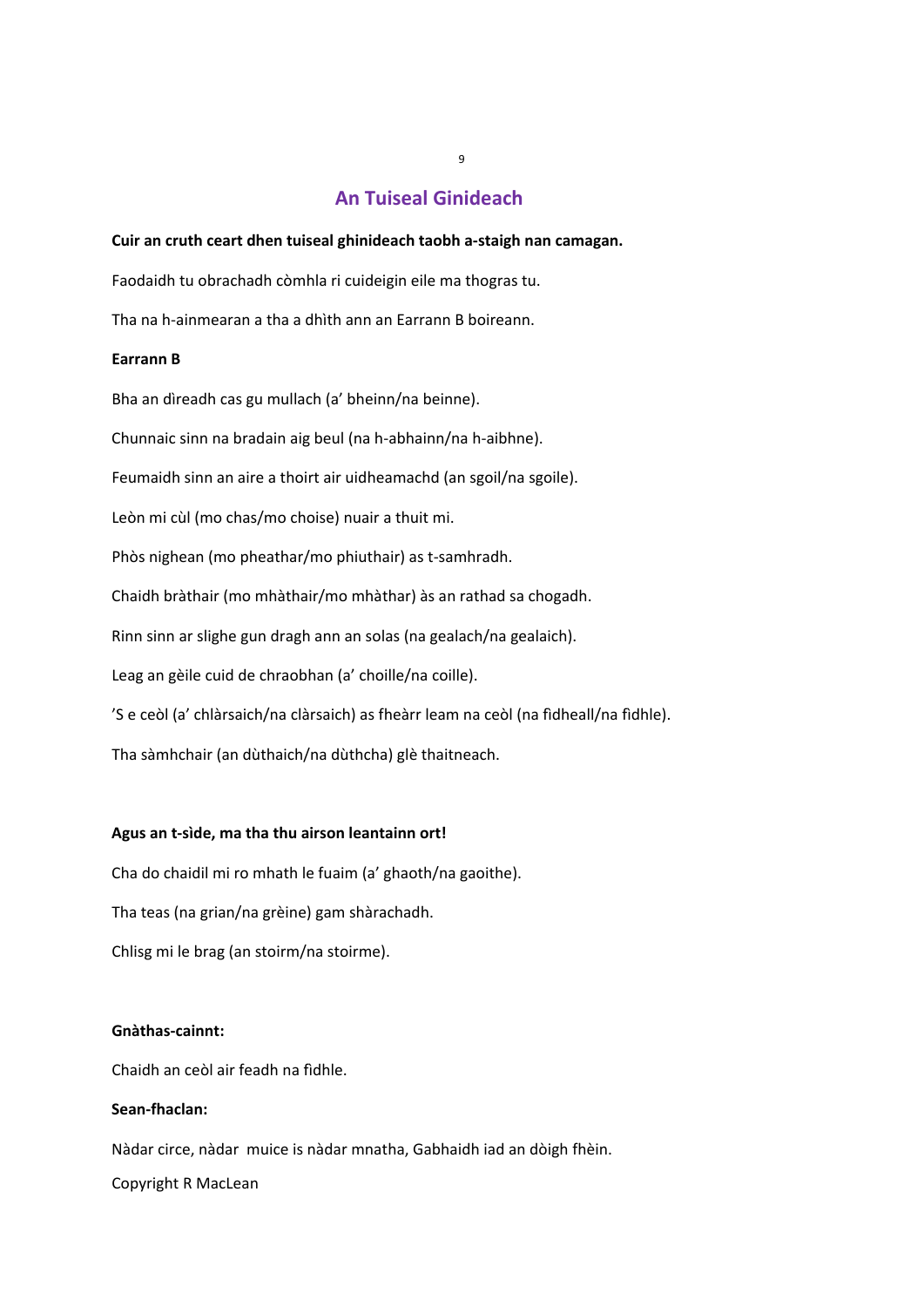#### **Cuir an cruth ceart dhen tuiseal ghinideach taobh a‐staigh nan camagan.**

Faodaidh tu obrachadh còmhla ri cuideigin eile ma thogras tu.

Tha na h‐ainmearan a tha a dhìth ann an Earrann B boireann.

#### **Earrann B**

Bha an dìreadh cas gu mullach (a' bheinn/na beinne).

Chunnaic sinn na bradain aig beul (na h‐abhainn/na h‐aibhne).

Feumaidh sinn an aire a thoirt air uidheamachd (an sgoil/na sgoile).

Leòn mi cùl (mo chas/mo choise) nuair a thuit mi.

Phòs nighean (mo pheathar/mo phiuthair) as t‐samhradh.

Chaidh bràthair (mo mhàthair/mo mhàthar) às an rathad sa chogadh.

Rinn sinn ar slighe gun dragh ann an solas (na gealach/na gealaich).

Leag an gèile cuid de chraobhan (a' choille/na coille).

'S e ceòl (a' chlàrsaich/na clàrsaich) as fheàrr leam na ceòl (na fìdheall/na fìdhle).

Tha sàmhchair (an dùthaich/na dùthcha) glè thaitneach.

#### **Agus an t‐sìde, ma tha thu airson leantainn ort!**

Cha do chaidil mi ro mhath le fuaim (a' ghaoth/na gaoithe). Tha teas (na grian/na grèine) gam shàrachadh. Chlisg mi le brag (an stoirm/na stoirme).

## **Gnàthas‐cainnt:**

Chaidh an ceòl air feadh na fìdhle.

#### **Sean‐fhaclan:**

Nàdar circe, nàdar muice is nàdar mnatha, Gabhaidh iad an dòigh fhèin.